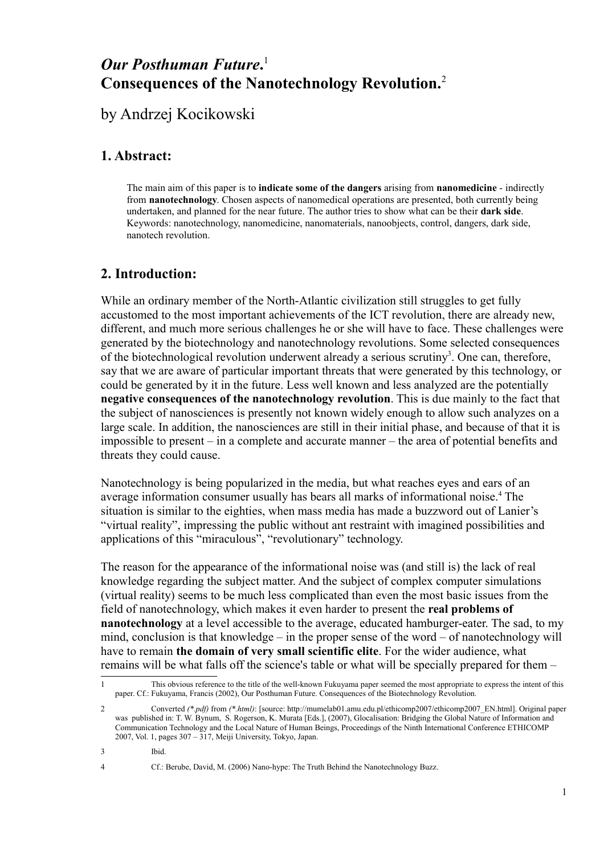# *Our Posthuman Future***.** [1](#page-0-0) **Consequences of the Nanotechnology Revolution.**[2](#page-0-1)

by Andrzej Kocikowski

### **1. Abstract:**

The main aim of this paper is to **indicate some of the dangers** arising from **nanomedicine** - indirectly from **nanotechnology**. Chosen aspects of nanomedical operations are presented, both currently being undertaken, and planned for the near future. The author tries to show what can be their **dark side**. Keywords: nanotechnology, nanomedicine, nanomaterials, nanoobjects, control, dangers, dark side, nanotech revolution.

## **2. Introduction:**

While an ordinary member of the North-Atlantic civilization still struggles to get fully accustomed to the most important achievements of the ICT revolution, there are already new, different, and much more serious challenges he or she will have to face. These challenges were generated by the biotechnology and nanotechnology revolutions. Some selected consequences of the biotechnological revolution underwent already a serious scrutiny<sup>[3](#page-0-2)</sup>. One can, therefore, say that we are aware of particular important threats that were generated by this technology, or could be generated by it in the future. Less well known and less analyzed are the potentially **negative consequences of the nanotechnology revolution**. This is due mainly to the fact that the subject of nanosciences is presently not known widely enough to allow such analyzes on a large scale. In addition, the nanosciences are still in their initial phase, and because of that it is impossible to present – in a complete and accurate manner – the area of potential benefits and threats they could cause.

Nanotechnology is being popularized in the media, but what reaches eyes and ears of an average information consumer usually has bears all marks of informational noise.<sup>[4](#page-0-3)</sup> The situation is similar to the eighties, when mass media has made a buzzword out of Lanier's "virtual reality", impressing the public without ant restraint with imagined possibilities and applications of this "miraculous", "revolutionary" technology.

The reason for the appearance of the informational noise was (and still is) the lack of real knowledge regarding the subject matter. And the subject of complex computer simulations (virtual reality) seems to be much less complicated than even the most basic issues from the field of nanotechnology, which makes it even harder to present the **real problems of nanotechnology** at a level accessible to the average, educated hamburger-eater. The sad, to my mind, conclusion is that knowledge – in the proper sense of the word – of nanotechnology will have to remain **the domain of very small scientific elite**. For the wider audience, what remains will be what falls off the science's table or what will be specially prepared for them –

<span id="page-0-0"></span><sup>1</sup> This obvious reference to the title of the well-known Fukuyama paper seemed the most appropriate to express the intent of this paper. Cf.: Fukuyama, Francis (2002), Our Posthuman Future. Consequences of the Biotechnology Revolution.

<span id="page-0-1"></span><sup>2</sup> Converted *(\*.pdf)* from *(\*.html)*: [source: http://mumelab01.amu.edu.pl/ethicomp2007/ethicomp2007\_EN.html]. Original paper was published in: T. W. Bynum, S. Rogerson, K. Murata [Eds.], (2007), Glocalisation: Bridging the Global Nature of Information and Communication Technology and the Local Nature of Human Beings, Proceedings of the Ninth International Conference ETHICOMP 2007, Vol. 1, pages  $307 - 317$ , Meiji University, Tokyo, Japan.

<span id="page-0-2"></span><sup>3</sup> Ibid.

<span id="page-0-3"></span><sup>4</sup> Cf.: Berube, David, M. (2006) Nano-hype: The Truth Behind the Nanotechnology Buzz.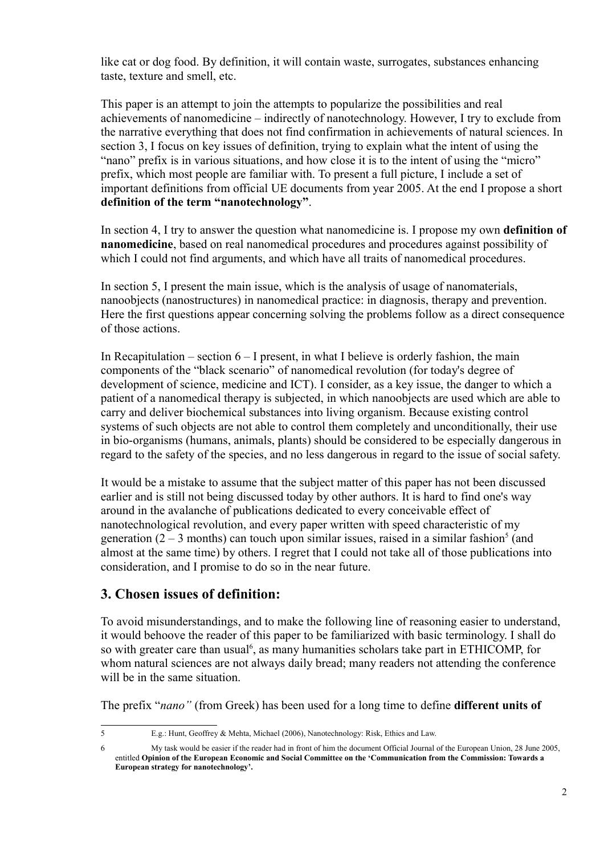like cat or dog food. By definition, it will contain waste, surrogates, substances enhancing taste, texture and smell, etc.

This paper is an attempt to join the attempts to popularize the possibilities and real achievements of nanomedicine – indirectly of nanotechnology. However, I try to exclude from the narrative everything that does not find confirmation in achievements of natural sciences. In section 3, I focus on key issues of definition, trying to explain what the intent of using the "nano" prefix is in various situations, and how close it is to the intent of using the "micro" prefix, which most people are familiar with. To present a full picture, I include a set of important definitions from official UE documents from year 2005. At the end I propose a short **definition of the term "nanotechnology"**.

In section 4, I try to answer the question what nanomedicine is. I propose my own **definition of nanomedicine**, based on real nanomedical procedures and procedures against possibility of which I could not find arguments, and which have all traits of nanomedical procedures.

In section 5, I present the main issue, which is the analysis of usage of nanomaterials, nanoobjects (nanostructures) in nanomedical practice: in diagnosis, therapy and prevention. Here the first questions appear concerning solving the problems follow as a direct consequence of those actions.

In Recapitulation – section  $6 - I$  present, in what I believe is orderly fashion, the main components of the "black scenario" of nanomedical revolution (for today's degree of development of science, medicine and ICT). I consider, as a key issue, the danger to which a patient of a nanomedical therapy is subjected, in which nanoobjects are used which are able to carry and deliver biochemical substances into living organism. Because existing control systems of such objects are not able to control them completely and unconditionally, their use in bio-organisms (humans, animals, plants) should be considered to be especially dangerous in regard to the safety of the species, and no less dangerous in regard to the issue of social safety.

It would be a mistake to assume that the subject matter of this paper has not been discussed earlier and is still not being discussed today by other authors. It is hard to find one's way around in the avalanche of publications dedicated to every conceivable effect of nanotechnological revolution, and every paper written with speed characteristic of my generation  $(2 – 3$  months) can touch upon similar issues, raised in a similar fashion<sup>[5](#page-1-0)</sup> (and almost at the same time) by others. I regret that I could not take all of those publications into consideration, and I promise to do so in the near future.

### **3. Chosen issues of definition:**

To avoid misunderstandings, and to make the following line of reasoning easier to understand, it would behoove the reader of this paper to be familiarized with basic terminology. I shall do so with greater care than usual<sup>[6](#page-1-1)</sup>, as many humanities scholars take part in ETHICOMP, for whom natural sciences are not always daily bread; many readers not attending the conference will be in the same situation.

The prefix "*nano"* (from Greek) has been used for a long time to define **different units of**

<span id="page-1-0"></span><sup>5</sup> E.g.: Hunt, Geoffrey & Mehta, Michael (2006), Nanotechnology: Risk, Ethics and Law.

<span id="page-1-1"></span><sup>6</sup> My task would be easier if the reader had in front of him the document Official Journal of the European Union, 28 June 2005, entitled **Opinion of the European Economic and Social Committee on the 'Communication from the Commission: Towards a European strategy for nanotechnology'.**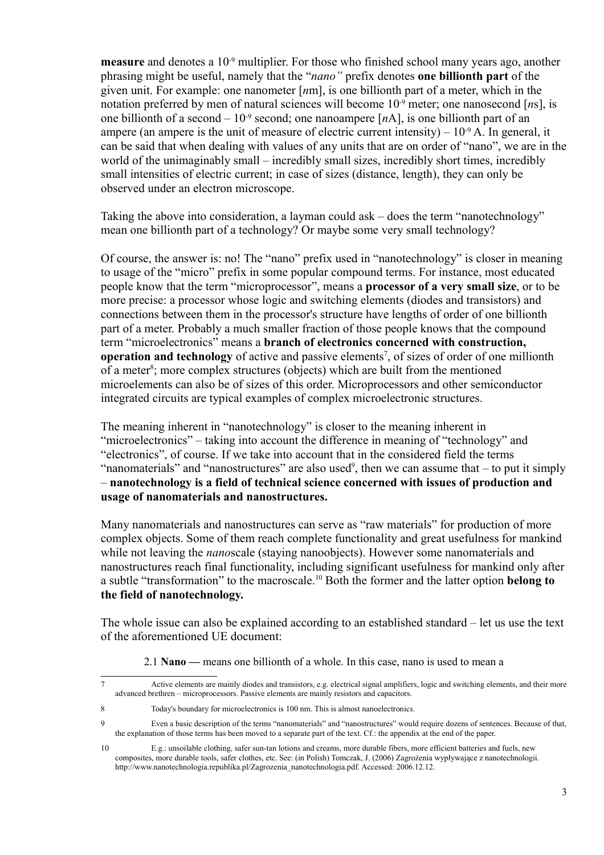**measure** and denotes a 10<sup>-9</sup> multiplier. For those who finished school many years ago, another phrasing might be useful, namely that the "*nano"* prefix denotes **one billionth part** of the given unit. For example: one nanometer [*n*m], is one billionth part of a meter, which in the notation preferred by men of natural sciences will become 10-9 meter; one nanosecond [*n*s], is one billionth of a second – 10-9 second; one nanoampere [*n*A], is one billionth part of an ampere (an ampere is the unit of measure of electric current intensity) –  $10<sup>-9</sup>$  A. In general, it can be said that when dealing with values of any units that are on order of "nano", we are in the world of the unimaginably small – incredibly small sizes, incredibly short times, incredibly small intensities of electric current; in case of sizes (distance, length), they can only be observed under an electron microscope.

Taking the above into consideration, a layman could ask – does the term "nanotechnology" mean one billionth part of a technology? Or maybe some very small technology?

Of course, the answer is: no! The "nano" prefix used in "nanotechnology" is closer in meaning to usage of the "micro" prefix in some popular compound terms. For instance, most educated people know that the term "microprocessor", means a **processor of a very small size**, or to be more precise: a processor whose logic and switching elements (diodes and transistors) and connections between them in the processor's structure have lengths of order of one billionth part of a meter. Probably a much smaller fraction of those people knows that the compound term "microelectronics" means a **branch of electronics concerned with construction,** operation and technology of active and passive elements<sup>[7](#page-2-0)</sup>, of sizes of order of one millionth of a meter<sup>[8](#page-2-1)</sup>; more complex structures (objects) which are built from the mentioned microelements can also be of sizes of this order. Microprocessors and other semiconductor integrated circuits are typical examples of complex microelectronic structures.

The meaning inherent in "nanotechnology" is closer to the meaning inherent in "microelectronics" – taking into account the difference in meaning of "technology" and "electronics", of course. If we take into account that in the considered field the terms "nanomaterials" and "nanostructures" are also used<sup>[9](#page-2-2)</sup>, then we can assume that  $-$  to put it simply – **nanotechnology is a field of technical science concerned with issues of production and usage of nanomaterials and nanostructures.**

Many nanomaterials and nanostructures can serve as "raw materials" for production of more complex objects. Some of them reach complete functionality and great usefulness for mankind while not leaving the *nano*scale (staying nanoobjects). However some nanomaterials and nanostructures reach final functionality, including significant usefulness for mankind only after a subtle "transformation" to the macroscale.[10](#page-2-3) Both the former and the latter option **belong to the field of nanotechnology.**

The whole issue can also be explained according to an established standard – let us use the text of the aforementioned UE document:

2.1 **Nano —** means one billionth of a whole. In this case, nano is used to mean a

<span id="page-2-0"></span><sup>7</sup> Active elements are mainly diodes and transistors, e.g. electrical signal amplifiers, logic and switching elements, and their more advanced brethren – microprocessors. Passive elements are mainly resistors and capacitors.

<span id="page-2-1"></span><sup>8</sup> Today's boundary for microelectronics is 100 nm. This is almost nanoelectronics.

<span id="page-2-3"></span><span id="page-2-2"></span><sup>9</sup> Even a basic description of the terms "nanomaterials" and "nanostructures" would require dozens of sentences. Because of that, the explanation of those terms has been moved to a separate part of the text. Cf.: the appendix at the end of the paper.

<sup>10</sup> E.g.: unsoilable clothing, safer sun-tan lotions and creams, more durable fibers, more efficient batteries and fuels, new composites, more durable tools, safer clothes, etc. See: (in Polish) Tomczak, J. (2006) Zagrożenia wypływające z nanotechnologii. http://www.nanotechnologia.republika.pl/Zagrozenia\_nanotechnologia.pdf. Accessed: 2006.12.12.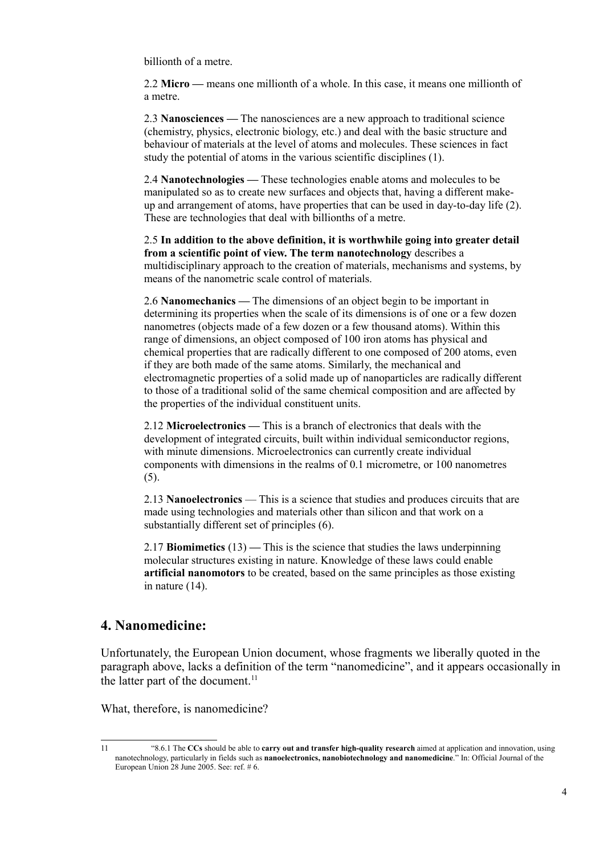billionth of a metre.

2.2 **Micro —** means one millionth of a whole. In this case, it means one millionth of a metre.

2.3 **Nanosciences —** The nanosciences are a new approach to traditional science (chemistry, physics, electronic biology, etc.) and deal with the basic structure and behaviour of materials at the level of atoms and molecules. These sciences in fact study the potential of atoms in the various scientific disciplines (1).

2.4 **Nanotechnologies —** These technologies enable atoms and molecules to be manipulated so as to create new surfaces and objects that, having a different makeup and arrangement of atoms, have properties that can be used in day-to-day life (2). These are technologies that deal with billionths of a metre.

2.5 **In addition to the above definition, it is worthwhile going into greater detail from a scientific point of view. The term nanotechnology** describes a multidisciplinary approach to the creation of materials, mechanisms and systems, by means of the nanometric scale control of materials.

2.6 **Nanomechanics —** The dimensions of an object begin to be important in determining its properties when the scale of its dimensions is of one or a few dozen nanometres (objects made of a few dozen or a few thousand atoms). Within this range of dimensions, an object composed of 100 iron atoms has physical and chemical properties that are radically different to one composed of 200 atoms, even if they are both made of the same atoms. Similarly, the mechanical and electromagnetic properties of a solid made up of nanoparticles are radically different to those of a traditional solid of the same chemical composition and are affected by the properties of the individual constituent units.

2.12 **Microelectronics —** This is a branch of electronics that deals with the development of integrated circuits, built within individual semiconductor regions, with minute dimensions. Microelectronics can currently create individual components with dimensions in the realms of 0.1 micrometre, or 100 nanometres (5).

2.13 **Nanoelectronics** — This is a science that studies and produces circuits that are made using technologies and materials other than silicon and that work on a substantially different set of principles (6).

2.17 **Biomimetics** (13) **—** This is the science that studies the laws underpinning molecular structures existing in nature. Knowledge of these laws could enable **artificial nanomotors** to be created, based on the same principles as those existing in nature (14).

### **4. Nanomedicine:**

Unfortunately, the European Union document, whose fragments we liberally quoted in the paragraph above, lacks a definition of the term "nanomedicine", and it appears occasionally in the latter part of the document.<sup>[11](#page-3-0)</sup>

What, therefore, is nanomedicine?

<span id="page-3-0"></span><sup>11</sup> "8.6.1 The **CCs** should be able to **carry out and transfer high-quality research** aimed at application and innovation, using nanotechnology, particularly in fields such as **nanoelectronics, nanobiotechnology and nanomedicine**." In: Official Journal of the European Union 28 June 2005. See: ref. # 6.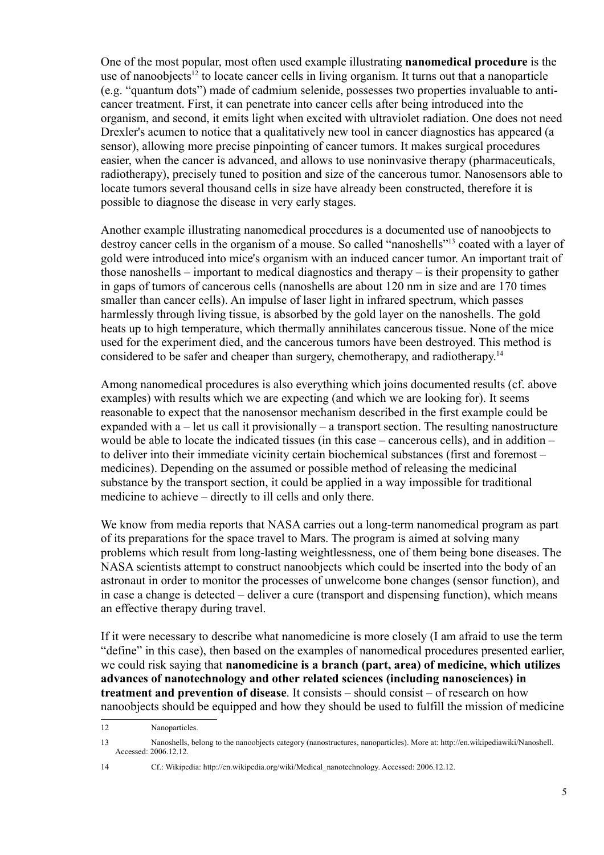One of the most popular, most often used example illustrating **nanomedical procedure** is the use of nanoobjects<sup>[12](#page-4-0)</sup> to locate cancer cells in living organism. It turns out that a nanoparticle (e.g. "quantum dots") made of cadmium selenide, possesses two properties invaluable to anticancer treatment. First, it can penetrate into cancer cells after being introduced into the organism, and second, it emits light when excited with ultraviolet radiation. One does not need Drexler's acumen to notice that a qualitatively new tool in cancer diagnostics has appeared (a sensor), allowing more precise pinpointing of cancer tumors. It makes surgical procedures easier, when the cancer is advanced, and allows to use noninvasive therapy (pharmaceuticals, radiotherapy), precisely tuned to position and size of the cancerous tumor. Nanosensors able to locate tumors several thousand cells in size have already been constructed, therefore it is possible to diagnose the disease in very early stages.

Another example illustrating nanomedical procedures is a documented use of nanoobjects to destroy cancer cells in the organism of a mouse. So called "nanoshells"[13](#page-4-1) coated with a layer of gold were introduced into mice's organism with an induced cancer tumor. An important trait of those nanoshells – important to medical diagnostics and therapy – is their propensity to gather in gaps of tumors of cancerous cells (nanoshells are about 120 nm in size and are 170 times smaller than cancer cells). An impulse of laser light in infrared spectrum, which passes harmlessly through living tissue, is absorbed by the gold layer on the nanoshells. The gold heats up to high temperature, which thermally annihilates cancerous tissue. None of the mice used for the experiment died, and the cancerous tumors have been destroyed. This method is considered to be safer and cheaper than surgery, chemotherapy, and radiotherapy.[14](#page-4-2)

Among nanomedical procedures is also everything which joins documented results (cf. above examples) with results which we are expecting (and which we are looking for). It seems reasonable to expect that the nanosensor mechanism described in the first example could be expanded with  $a$  – let us call it provisionally – a transport section. The resulting nanostructure would be able to locate the indicated tissues (in this case – cancerous cells), and in addition – to deliver into their immediate vicinity certain biochemical substances (first and foremost – medicines). Depending on the assumed or possible method of releasing the medicinal substance by the transport section, it could be applied in a way impossible for traditional medicine to achieve – directly to ill cells and only there.

We know from media reports that NASA carries out a long-term nanomedical program as part of its preparations for the space travel to Mars. The program is aimed at solving many problems which result from long-lasting weightlessness, one of them being bone diseases. The NASA scientists attempt to construct nanoobjects which could be inserted into the body of an astronaut in order to monitor the processes of unwelcome bone changes (sensor function), and in case a change is detected – deliver a cure (transport and dispensing function), which means an effective therapy during travel.

If it were necessary to describe what nanomedicine is more closely (I am afraid to use the term "define" in this case), then based on the examples of nanomedical procedures presented earlier, we could risk saying that **nanomedicine is a branch (part, area) of medicine, which utilizes advances of nanotechnology and other related sciences (including nanosciences) in treatment and prevention of disease**. It consists – should consist – of research on how nanoobjects should be equipped and how they should be used to fulfill the mission of medicine

<span id="page-4-0"></span><sup>12</sup> Nanoparticles.

<span id="page-4-1"></span><sup>13</sup> Nanoshells, belong to the nanoobjects category (nanostructures, nanoparticles). More at: http://en.wikipediawiki/Nanoshell. Accessed: 2006.12.12.

<span id="page-4-2"></span><sup>14</sup> Cf.: Wikipedia: http://en.wikipedia.org/wiki/Medical\_nanotechnology. Accessed: 2006.12.12.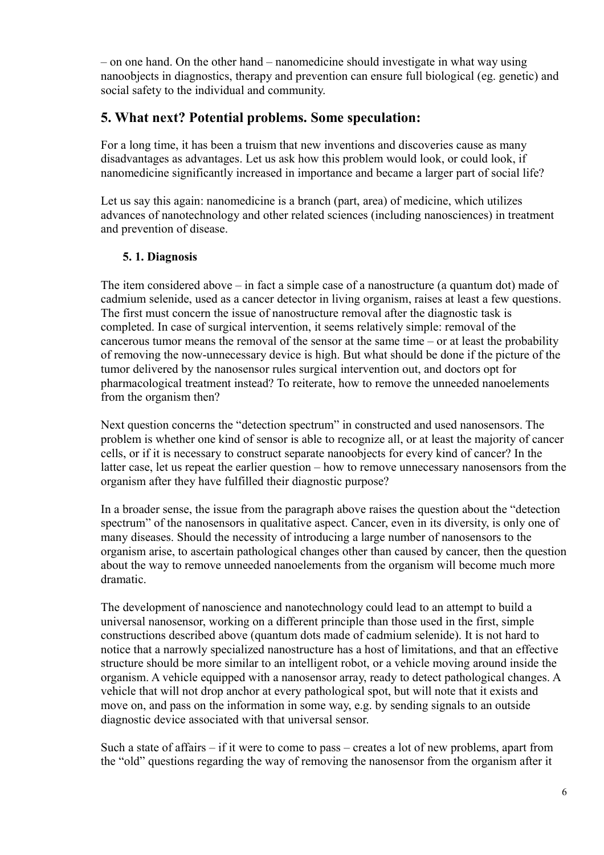– on one hand. On the other hand – nanomedicine should investigate in what way using nanoobjects in diagnostics, therapy and prevention can ensure full biological (eg. genetic) and social safety to the individual and community.

### **5. What next? Potential problems. Some speculation:**

For a long time, it has been a truism that new inventions and discoveries cause as many disadvantages as advantages. Let us ask how this problem would look, or could look, if nanomedicine significantly increased in importance and became a larger part of social life?

Let us say this again: nanomedicine is a branch (part, area) of medicine, which utilizes advances of nanotechnology and other related sciences (including nanosciences) in treatment and prevention of disease.

### **5. 1. Diagnosis**

The item considered above – in fact a simple case of a nanostructure (a quantum dot) made of cadmium selenide, used as a cancer detector in living organism, raises at least a few questions. The first must concern the issue of nanostructure removal after the diagnostic task is completed. In case of surgical intervention, it seems relatively simple: removal of the cancerous tumor means the removal of the sensor at the same time – or at least the probability of removing the now-unnecessary device is high. But what should be done if the picture of the tumor delivered by the nanosensor rules surgical intervention out, and doctors opt for pharmacological treatment instead? To reiterate, how to remove the unneeded nanoelements from the organism then?

Next question concerns the "detection spectrum" in constructed and used nanosensors. The problem is whether one kind of sensor is able to recognize all, or at least the majority of cancer cells, or if it is necessary to construct separate nanoobjects for every kind of cancer? In the latter case, let us repeat the earlier question – how to remove unnecessary nanosensors from the organism after they have fulfilled their diagnostic purpose?

In a broader sense, the issue from the paragraph above raises the question about the "detection spectrum" of the nanosensors in qualitative aspect. Cancer, even in its diversity, is only one of many diseases. Should the necessity of introducing a large number of nanosensors to the organism arise, to ascertain pathological changes other than caused by cancer, then the question about the way to remove unneeded nanoelements from the organism will become much more dramatic.

The development of nanoscience and nanotechnology could lead to an attempt to build a universal nanosensor, working on a different principle than those used in the first, simple constructions described above (quantum dots made of cadmium selenide). It is not hard to notice that a narrowly specialized nanostructure has a host of limitations, and that an effective structure should be more similar to an intelligent robot, or a vehicle moving around inside the organism. A vehicle equipped with a nanosensor array, ready to detect pathological changes. A vehicle that will not drop anchor at every pathological spot, but will note that it exists and move on, and pass on the information in some way, e.g. by sending signals to an outside diagnostic device associated with that universal sensor.

Such a state of affairs – if it were to come to pass – creates a lot of new problems, apart from the "old" questions regarding the way of removing the nanosensor from the organism after it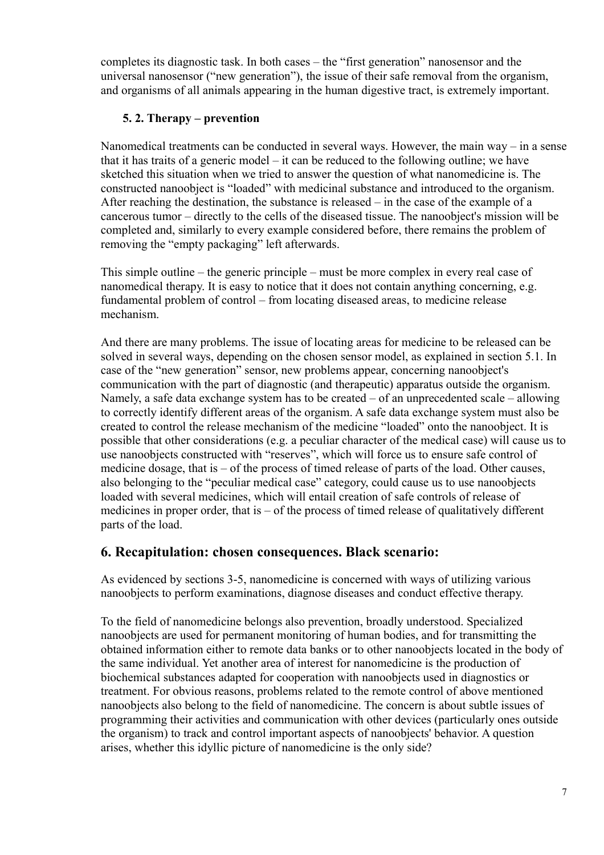completes its diagnostic task. In both cases – the "first generation" nanosensor and the universal nanosensor ("new generation"), the issue of their safe removal from the organism, and organisms of all animals appearing in the human digestive tract, is extremely important.

#### **5. 2. Therapy – prevention**

Nanomedical treatments can be conducted in several ways. However, the main way – in a sense that it has traits of a generic model – it can be reduced to the following outline; we have sketched this situation when we tried to answer the question of what nanomedicine is. The constructed nanoobject is "loaded" with medicinal substance and introduced to the organism. After reaching the destination, the substance is released – in the case of the example of a cancerous tumor – directly to the cells of the diseased tissue. The nanoobject's mission will be completed and, similarly to every example considered before, there remains the problem of removing the "empty packaging" left afterwards.

This simple outline – the generic principle – must be more complex in every real case of nanomedical therapy. It is easy to notice that it does not contain anything concerning, e.g. fundamental problem of control – from locating diseased areas, to medicine release mechanism.

And there are many problems. The issue of locating areas for medicine to be released can be solved in several ways, depending on the chosen sensor model, as explained in section 5.1. In case of the "new generation" sensor, new problems appear, concerning nanoobject's communication with the part of diagnostic (and therapeutic) apparatus outside the organism. Namely, a safe data exchange system has to be created – of an unprecedented scale – allowing to correctly identify different areas of the organism. A safe data exchange system must also be created to control the release mechanism of the medicine "loaded" onto the nanoobject. It is possible that other considerations (e.g. a peculiar character of the medical case) will cause us to use nanoobjects constructed with "reserves", which will force us to ensure safe control of medicine dosage, that is – of the process of timed release of parts of the load. Other causes, also belonging to the "peculiar medical case" category, could cause us to use nanoobjects loaded with several medicines, which will entail creation of safe controls of release of medicines in proper order, that is – of the process of timed release of qualitatively different parts of the load.

### **6. Recapitulation: chosen consequences. Black scenario:**

As evidenced by sections 3-5, nanomedicine is concerned with ways of utilizing various nanoobjects to perform examinations, diagnose diseases and conduct effective therapy.

To the field of nanomedicine belongs also prevention, broadly understood. Specialized nanoobjects are used for permanent monitoring of human bodies, and for transmitting the obtained information either to remote data banks or to other nanoobjects located in the body of the same individual. Yet another area of interest for nanomedicine is the production of biochemical substances adapted for cooperation with nanoobjects used in diagnostics or treatment. For obvious reasons, problems related to the remote control of above mentioned nanoobjects also belong to the field of nanomedicine. The concern is about subtle issues of programming their activities and communication with other devices (particularly ones outside the organism) to track and control important aspects of nanoobjects' behavior. A question arises, whether this idyllic picture of nanomedicine is the only side?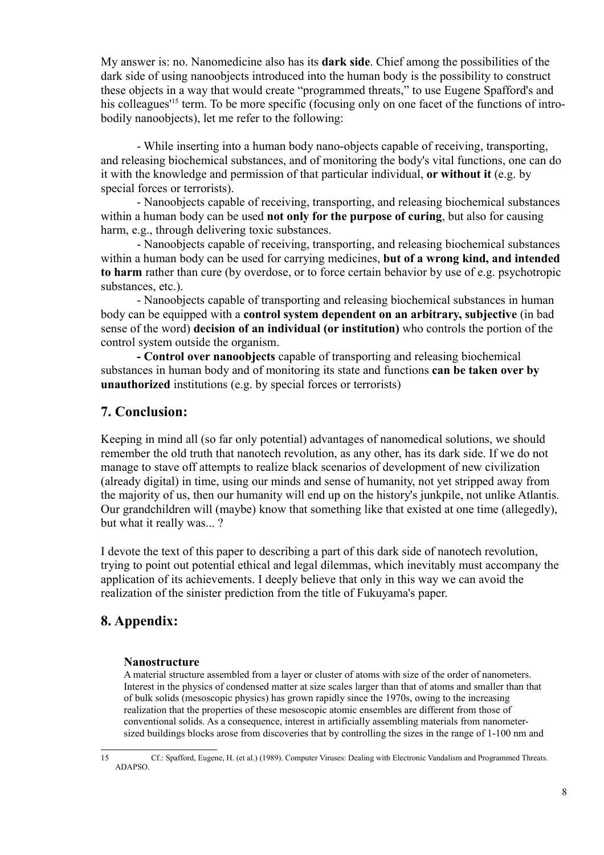My answer is: no. Nanomedicine also has its **dark side**. Chief among the possibilities of the dark side of using nanoobjects introduced into the human body is the possibility to construct these objects in a way that would create "programmed threats," to use Eugene Spafford's and his colleagues<sup>'[15](#page-7-0)</sup> term. To be more specific (focusing only on one facet of the functions of introbodily nanoobjects), let me refer to the following:

- While inserting into a human body nano-objects capable of receiving, transporting, and releasing biochemical substances, and of monitoring the body's vital functions, one can do it with the knowledge and permission of that particular individual, **or without it** (e.g. by special forces or terrorists).

- Nanoobjects capable of receiving, transporting, and releasing biochemical substances within a human body can be used **not only for the purpose of curing**, but also for causing harm, e.g., through delivering toxic substances.

- Nanoobjects capable of receiving, transporting, and releasing biochemical substances within a human body can be used for carrying medicines, **but of a wrong kind, and intended to harm** rather than cure (by overdose, or to force certain behavior by use of e.g. psychotropic substances, etc.).

- Nanoobjects capable of transporting and releasing biochemical substances in human body can be equipped with a **control system dependent on an arbitrary, subjective** (in bad sense of the word) **decision of an individual (or institution)** who controls the portion of the control system outside the organism.

**- Control over nanoobjects** capable of transporting and releasing biochemical substances in human body and of monitoring its state and functions **can be taken over by unauthorized** institutions (e.g. by special forces or terrorists)

### **7. Conclusion:**

Keeping in mind all (so far only potential) advantages of nanomedical solutions, we should remember the old truth that nanotech revolution, as any other, has its dark side. If we do not manage to stave off attempts to realize black scenarios of development of new civilization (already digital) in time, using our minds and sense of humanity, not yet stripped away from the majority of us, then our humanity will end up on the history's junkpile, not unlike Atlantis. Our grandchildren will (maybe) know that something like that existed at one time (allegedly), but what it really was... ?

I devote the text of this paper to describing a part of this dark side of nanotech revolution, trying to point out potential ethical and legal dilemmas, which inevitably must accompany the application of its achievements. I deeply believe that only in this way we can avoid the realization of the sinister prediction from the title of Fukuyama's paper.

## **8. Appendix:**

#### **Nanostructure**

A material structure assembled from a layer or cluster of atoms with size of the order of nanometers. Interest in the physics of condensed matter at size scales larger than that of atoms and smaller than that of bulk solids (mesoscopic physics) has grown rapidly since the 1970s, owing to the increasing realization that the properties of these mesoscopic atomic ensembles are different from those of conventional solids. As a consequence, interest in artificially assembling materials from nanometersized buildings blocks arose from discoveries that by controlling the sizes in the range of 1-100 nm and

<span id="page-7-0"></span><sup>15</sup> Cf.: Spafford, Eugene, H. (et al.) (1989). Computer Viruses: Dealing with Electronic Vandalism and Programmed Threats. ADAPSO.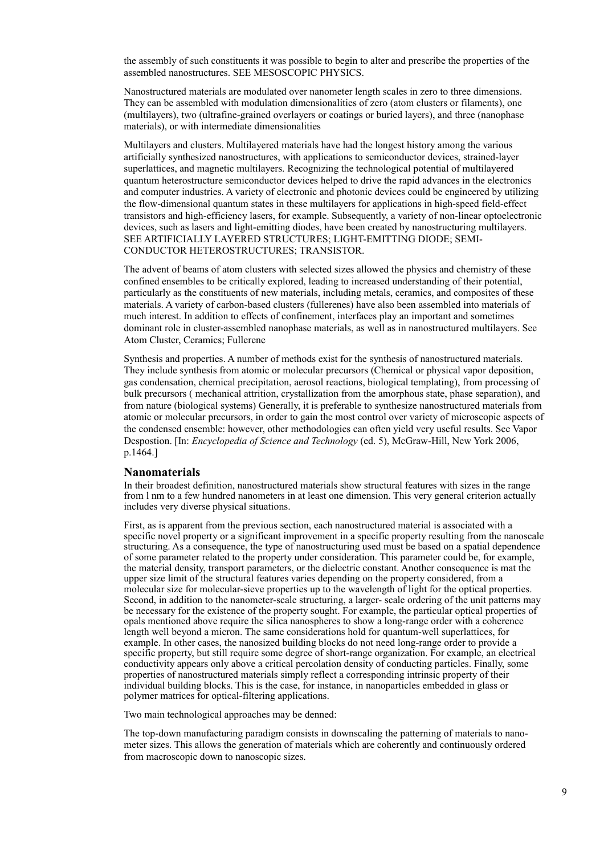the assembly of such constituents it was possible to begin to alter and prescribe the properties of the assembled nanostructures. SEE MESOSCOPIC PHYSICS.

Nanostructured materials are modulated over nanometer length scales in zero to three dimensions. They can be assembled with modulation dimensionalities of zero (atom clusters or filaments), one (multilayers), two (ultrafine-grained overlayers or coatings or buried layers), and three (nanophase materials), or with intermediate dimensionalities

Multilayers and clusters. Multilayered materials have had the longest history among the various artificially synthesized nanostructures, with applications to semiconductor devices, strained-layer superlattices, and magnetic multilayers. Recognizing the technological potential of multilayered quantum heterostructure semiconductor devices helped to drive the rapid advances in the electronics and computer industries. A variety of electronic and photonic devices could be engineered by utilizing the flow-dimensional quantum states in these multilayers for applications in high-speed field-effect transistors and high-efficiency lasers, for example. Subsequently, a variety of non-linear optoelectronic devices, such as lasers and light-emitting diodes, have been created by nanostructuring multilayers. SEE ARTIFICIALLY LAYERED STRUCTURES; LIGHT-EMITTING DIODE; SEMI-CONDUCTOR HETEROSTRUCTURES; TRANSISTOR.

The advent of beams of atom clusters with selected sizes allowed the physics and chemistry of these confined ensembles to be critically explored, leading to increased understanding of their potential, particularly as the constituents of new materials, including metals, ceramics, and composites of these materials. A variety of carbon-based clusters (fullerenes) have also been assembled into materials of much interest. In addition to effects of confinement, interfaces play an important and sometimes dominant role in cluster-assembled nanophase materials, as well as in nanostructured multilayers. See Atom Cluster, Ceramics; Fullerene

Synthesis and properties. A number of methods exist for the synthesis of nanostructured materials. They include synthesis from atomic or molecular precursors (Chemical or physical vapor deposition, gas condensation, chemical precipitation, aerosol reactions, biological templating), from processing of bulk precursors ( mechanical attrition, crystallization from the amorphous state, phase separation), and from nature (biological systems) Generally, it is preferable to synthesize nanostructured materials from atomic or molecular precursors, in order to gain the most control over variety of microscopic aspects of the condensed ensemble: however, other methodologies can often yield very useful results. See Vapor Despostion. [In: *Encyclopedia of Science and Technology* (ed. 5), McGraw-Hill, New York 2006, p.1464.]

#### **Nanomaterials**

In their broadest definition, nanostructured materials show structural features with sizes in the range from l nm to a few hundred nanometers in at least one dimension. This very general criterion actually includes very diverse physical situations.

First, as is apparent from the previous section, each nanostructured material is associated with a specific novel property or a significant improvement in a specific property resulting from the nanoscale structuring. As a consequence, the type of nanostructuring used must be based on a spatial dependence of some parameter related to the property under consideration. This parameter could be, for example, the material density, transport parameters, or the dielectric constant. Another consequence is mat the upper size limit of the structural features varies depending on the property considered, from a molecular size for molecular-sieve properties up to the wavelength of light for the optical properties. Second, in addition to the nanometer-scale structuring, a larger-scale ordering of the unit patterns may be necessary for the existence of the property sought. For example, the particular optical properties of opals mentioned above require the silica nanospheres to show a long-range order with a coherence length well beyond a micron. The same considerations hold for quantum-well superlattices, for example. In other cases, the nanosized building blocks do not need long-range order to provide a specific property, but still require some degree of short-range organization. For example, an electrical conductivity appears only above a critical percolation density of conducting particles. Finally, some properties of nanostructured materials simply reflect a corresponding intrinsic property of their individual building blocks. This is the case, for instance, in nanoparticles embedded in glass or polymer matrices for optical-filtering applications.

Two main technological approaches may be denned:

The top-down manufacturing paradigm consists in downscaling the patterning of materials to nanometer sizes. This allows the generation of materials which are coherently and continuously ordered from macroscopic down to nanoscopic sizes.